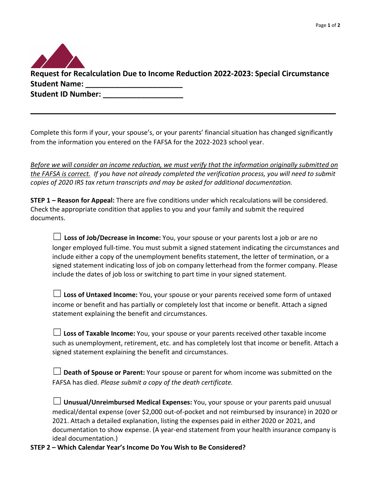| Request for Recalculation Due to Income Reduction 2022-2023: Special Circumstance |
|-----------------------------------------------------------------------------------|
| <b>Student Name:</b>                                                              |
| <b>Student ID Number:</b>                                                         |

Complete this form if your, your spouse's, or your parents' financial situation has changed significantly from the information you entered on the FAFSA for the 2022-2023 school year.

 $\mathcal{L}_\mathcal{L} = \mathcal{L}_\mathcal{L} = \mathcal{L}_\mathcal{L} = \mathcal{L}_\mathcal{L} = \mathcal{L}_\mathcal{L} = \mathcal{L}_\mathcal{L} = \mathcal{L}_\mathcal{L} = \mathcal{L}_\mathcal{L} = \mathcal{L}_\mathcal{L} = \mathcal{L}_\mathcal{L} = \mathcal{L}_\mathcal{L} = \mathcal{L}_\mathcal{L} = \mathcal{L}_\mathcal{L} = \mathcal{L}_\mathcal{L} = \mathcal{L}_\mathcal{L} = \mathcal{L}_\mathcal{L} = \mathcal{L}_\mathcal{L}$ 

*Before we will consider an income reduction, we must verify that the information originally submitted on the FAFSA is correct. If you have not already completed the verification process, you will need to submit copies of 2020 IRS tax return transcripts and may be asked for additional documentation.*

**STEP 1 – Reason for Appeal:** There are five conditions under which recalculations will be considered. Check the appropriate condition that applies to you and your family and submit the required documents.

☐ **Loss of Job/Decrease in Income:** You, your spouse or your parents lost a job or are no longer employed full-time. You must submit a signed statement indicating the circumstances and include either a copy of the unemployment benefits statement, the letter of termination, or a signed statement indicating loss of job on company letterhead from the former company. Please include the dates of job loss or switching to part time in your signed statement.

☐ **Loss of Untaxed Income:** You, your spouse or your parents received some form of untaxed income or benefit and has partially or completely lost that income or benefit. Attach a signed statement explaining the benefit and circumstances.

☐**Loss of Taxable Income:** You, your spouse or your parents received other taxable income such as unemployment, retirement, etc. and has completely lost that income or benefit. Attach a signed statement explaining the benefit and circumstances.

| $\Box$ Death of Spouse or Parent: Your spouse or parent for whom income was submitted on the |
|----------------------------------------------------------------------------------------------|
| FAFSA has died. Please submit a copy of the death certificate.                               |

| $\Box$ Unusual/Unreimbursed Medical Expenses: You, your spouse or your parents paid unusual    |
|------------------------------------------------------------------------------------------------|
| medical/dental expense (over \$2,000 out-of-pocket and not reimbursed by insurance) in 2020 or |
| 2021. Attach a detailed explanation, listing the expenses paid in either 2020 or 2021, and     |
| documentation to show expense. (A year-end statement from your health insurance company is     |
| ideal documentation.)                                                                          |

**STEP 2 – Which Calendar Year's Income Do You Wish to Be Considered?**